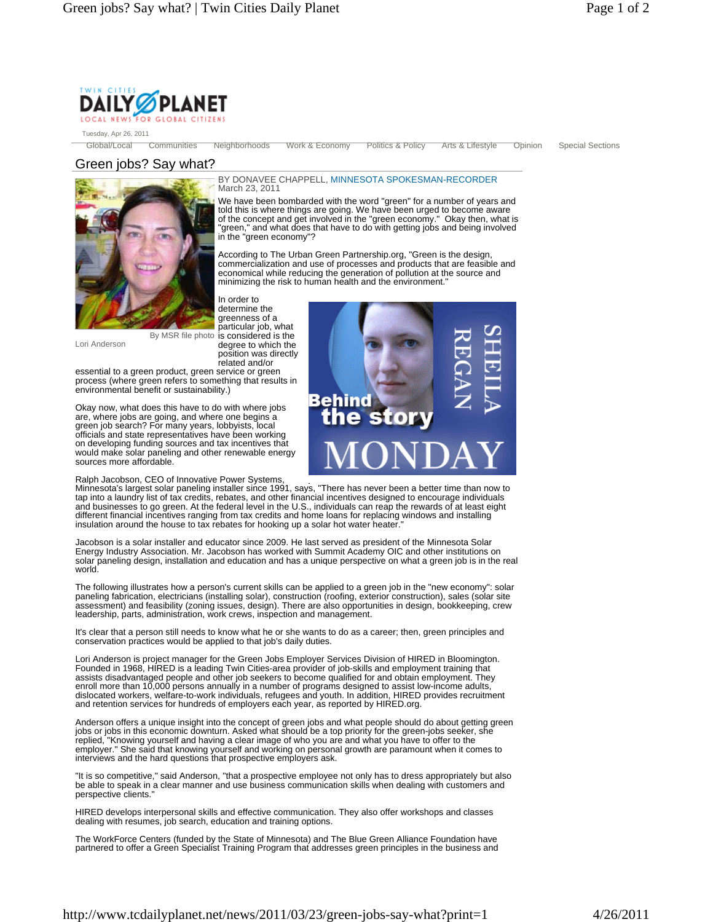

Tuesday, Apr 26, 2011

Global/Local Communities Neighborhoods Work & Economy Politics & Policy Arts & Lifestyle Opinion Special Sections

BY DONAVEE CHAPPELL, MINNESOTA SPOKESMAN-RECORDER

We have been bombarded with the word "green" for a number of years and told this is where things are going. We have been urged to become aware of the concept and get involved in the "green economy." Okay then, what is "green," and what does that have to do with getting jobs and being involved in the "green economy"?

According to The Urban Green Partnership.org, "Green is the design, commercialization and use of processes and products that are feasible and economical while reducing the generation of pollution at the source and

## Green jobs? Say what?



minimizing the risk to human health and the environment." In order to determine the greenness of a

March 23, 2011

Lori Anderson

particular job, what by MSR file photo is considered is the degree to which the position was directly related and/or

essential to a green product, green service or green process (where green refers to something that results in environmental benefit or sustainability.)

Okay now, what does this have to do with where jobs are, where jobs are going, and where one begins a green job search? For many years, lobbyists, local officials and state representatives have been working on developing funding sources and tax incentives that would make solar paneling and other renewable energy sources more affordable.

## Ralph Jacobson, CEO of Innovative Power Systems,

Minnesota's largest solar paneling installer since 1991, says, "There has never been a better time than now to tap into a laundry list of tax credits, rebates, and other financial incentives designed to encourage individuals and businesses to go green. At the federal level in the U.S., individuals can reap the rewards of at least eight different financial incentives ranging from tax credits and home loans for replacing windows and installing insulation around the house to tax rebates for hooking up a solar hot water heater.

Jacobson is a solar installer and educator since 2009. He last served as president of the Minnesota Solar Energy Industry Association. Mr. Jacobson has worked with Summit Academy OIC and other institutions on solar paneling design, installation and education and has a unique perspective on what a green job is in the real world.

The following illustrates how a person's current skills can be applied to a green job in the "new economy": solar paneling fabrication, electricians (installing solar), construction (roofing, exterior construction), sales (solar site assessment) and feasibility (zoning issues, design). There are also opportunities in design, bookkeeping, crew leadership, parts, administration, work crews, inspection and management.

It's clear that a person still needs to know what he or she wants to do as a career; then, green principles and conservation practices would be applied to that job's daily duties.

Lori Anderson is project manager for the Green Jobs Employer Services Division of HIRED in Bloomington.<br>Founded in 1968, HIRED is a leading Twin Cities-area provider of job-skills and employment training that<br>assists disad enroll more than 10,000 persons annually in a number of programs designed to assist low-income adults,<br>dislocated workers, welfare-to-work individuals, refugees and youth. In addition, HIRED provides recruitment<br>and retent

Anderson offers a unique insight into the concept of green jobs and what people should do about getting green jobs or jobs in this economic downturn. Asked what should be a top priority for the green-jobs seeker, she replied, "Knowing yourself and having a clear image of who you are and what you have to offer to the employer." She said that knowing yourself and working on personal growth are paramount when it comes to<br>interviews and the hard questions that prospective employers ask.

"It is so competitive," said Anderson, "that a prospective employee not only has to dress appropriately but also be able to speak in a clear manner and use business communication skills when dealing with customers and perspective clients."

HIRED develops interpersonal skills and effective communication. They also offer workshops and classes dealing with resumes, job search, education and training options.

The WorkForce Centers (funded by the State of Minnesota) and The Blue Green Alliance Foundation have partnered to offer a Green Specialist Training Program that addresses green principles in the business and